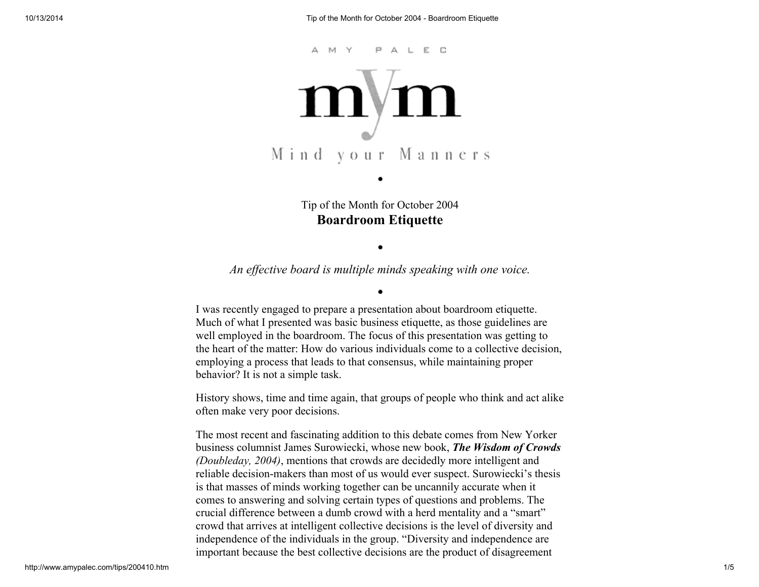

Tip of the Month for October 2004 Boardroom Etiquette

# An effective board is multiple minds speaking with one voice.

I was recently engaged to prepare a presentation about boardroom etiquette. Much of what I presented was basic business etiquette, as those guidelines are well employed in the boardroom. The focus of this presentation was getting to the heart of the matter: How do various individuals come to a collective decision, employing a process that leads to that consensus, while maintaining proper behavior? It is not a simple task.

History shows, time and time again, that groups of people who think and act alike often make very poor decisions.

The most recent and fascinating addition to this debate comes from New Yorker business columnist James Surowiecki, whose new book, The Wisdom of Crowds (Doubleday, 2004), mentions that crowds are decidedly more intelligent and reliable decision-makers than most of us would ever suspect. Surowiecki's thesis is that masses of minds working together can be uncannily accurate when it comes to answering and solving certain types of questions and problems. The crucial difference between a dumb crowd with a herd mentality and a "smart" crowd that arrives at intelligent collective decisions is the level of diversity and independence of the individuals in the group. "Diversity and independence are important because the best collective decisions are the product of disagreement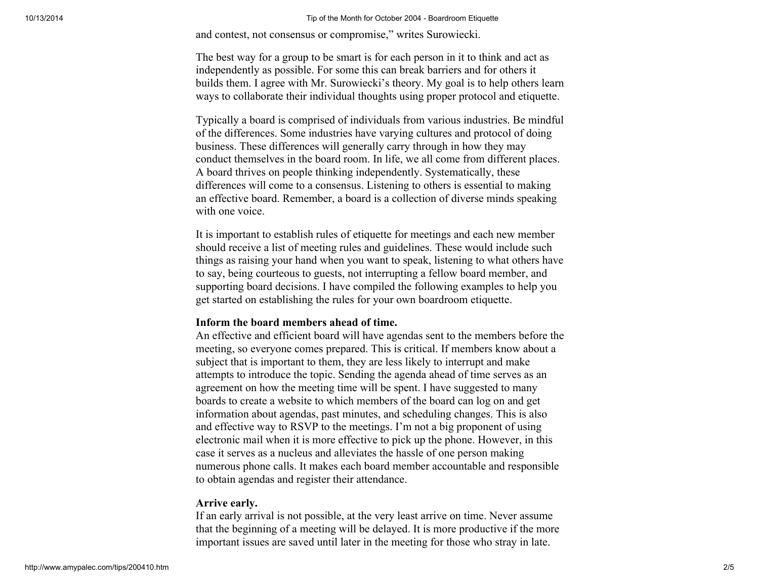#### 10/13/2014 Tip of the Month for October 2004 - Boardroom Etiquette

and contest, not consensus or compromise," writes Surowiecki.

The best way for a group to be smart is for each person in it to think and act as independently as possible. For some this can break barriers and for others it builds them. I agree with Mr. Surowiecki's theory. My goal is to help others learn ways to collaborate their individual thoughts using proper protocol and etiquette.

Typically a board is comprised of individuals from various industries. Be mindful of the differences. Some industries have varying cultures and protocol of doing business. These differences will generally carry through in how they may conduct themselves in the board room. In life, we all come from different places. A board thrives on people thinking independently. Systematically, these differences will come to a consensus. Listening to others is essential to making an effective board. Remember, a board is a collection of diverse minds speaking with one voice.

It is important to establish rules of etiquette for meetings and each new member should receive a list of meeting rules and guidelines. These would include such things as raising your hand when you want to speak, listening to what others have to say, being courteous to guests, not interrupting a fellow board member, and supporting board decisions. I have compiled the following examples to help you get started on establishing the rules for your own boardroom etiquette.

### Inform the board members ahead of time.

An effective and efficient board will have agendas sent to the members before the meeting, so everyone comes prepared. This is critical. If members know about a subject that is important to them, they are less likely to interrupt and make attempts to introduce the topic. Sending the agenda ahead of time serves as an agreement on how the meeting time will be spent. I have suggested to many boards to create a website to which members of the board can log on and get information about agendas, past minutes, and scheduling changes. This is also and effective way to RSVP to the meetings. I'm not a big proponent of using electronic mail when it is more effective to pick up the phone. However, in this case it serves as a nucleus and alleviates the hassle of one person making numerous phone calls. It makes each board member accountable and responsible to obtain agendas and register their attendance.

### Arrive early.

If an early arrival is not possible, at the very least arrive on time. Never assume that the beginning of a meeting will be delayed. It is more productive if the more important issues are saved until later in the meeting for those who stray in late.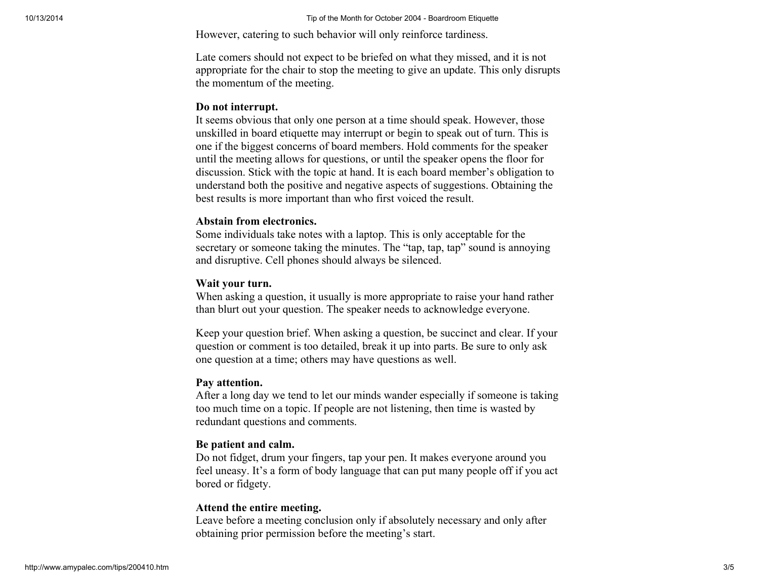However, catering to such behavior will only reinforce tardiness.

Late comers should not expect to be briefed on what they missed, and it is not appropriate for the chair to stop the meeting to give an update. This only disrupts the momentum of the meeting.

### Do not interrupt.

It seems obvious that only one person at a time should speak. However, those unskilled in board etiquette may interrupt or begin to speak out of turn. This is one if the biggest concerns of board members. Hold comments for the speaker until the meeting allows for questions, or until the speaker opens the floor for discussion. Stick with the topic at hand. It is each board member's obligation to understand both the positive and negative aspects of suggestions. Obtaining the best results is more important than who first voiced the result.

### Abstain from electronics.

Some individuals take notes with a laptop. This is only acceptable for the secretary or someone taking the minutes. The "tap, tap, tap" sound is annoying and disruptive. Cell phones should always be silenced.

### Wait your turn.

When asking a question, it usually is more appropriate to raise your hand rather than blurt out your question. The speaker needs to acknowledge everyone.

Keep your question brief. When asking a question, be succinct and clear. If your question or comment is too detailed, break it up into parts. Be sure to only ask one question at a time; others may have questions as well.

### Pay attention.

After a long day we tend to let our minds wander especially if someone is taking too much time on a topic. If people are not listening, then time is wasted by redundant questions and comments.

### Be patient and calm.

Do not fidget, drum your fingers, tap your pen. It makes everyone around you feel uneasy. It's a form of body language that can put many people off if you act bored or fidgety.

### Attend the entire meeting.

Leave before a meeting conclusion only if absolutely necessary and only after obtaining prior permission before the meeting's start.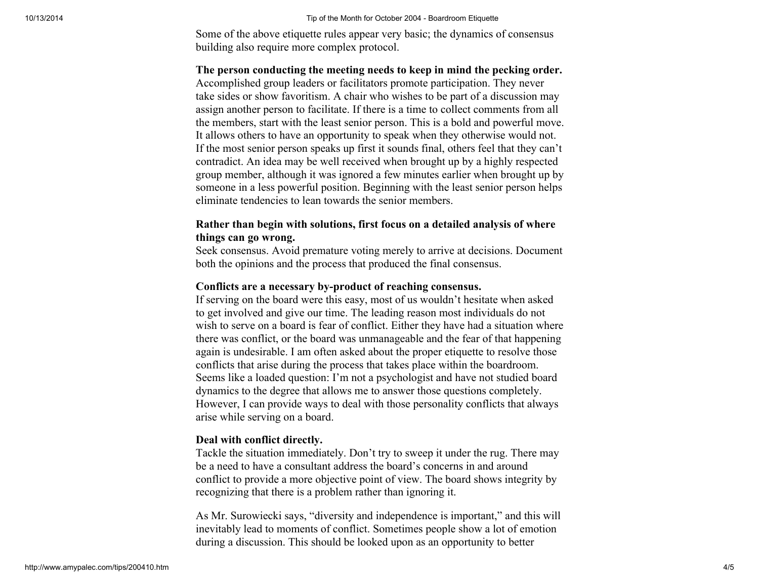Some of the above etiquette rules appear very basic; the dynamics of consensus building also require more complex protocol.

## The person conducting the meeting needs to keep in mind the pecking order.

Accomplished group leaders or facilitators promote participation. They never take sides or show favoritism. A chair who wishes to be part of a discussion may assign another person to facilitate. If there is a time to collect comments from all the members, start with the least senior person. This is a bold and powerful move. It allows others to have an opportunity to speak when they otherwise would not. If the most senior person speaks up first it sounds final, others feel that they can't contradict. An idea may be well received when brought up by a highly respected group member, although it was ignored a few minutes earlier when brought up by someone in a less powerful position. Beginning with the least senior person helps eliminate tendencies to lean towards the senior members.

## Rather than begin with solutions, first focus on a detailed analysis of where things can go wrong.

Seek consensus. Avoid premature voting merely to arrive at decisions. Document both the opinions and the process that produced the final consensus.

### Conflicts are a necessary by-product of reaching consensus.

If serving on the board were this easy, most of us wouldn't hesitate when asked to get involved and give our time. The leading reason most individuals do not wish to serve on a board is fear of conflict. Either they have had a situation where there was conflict, or the board was unmanageable and the fear of that happening again is undesirable. I am often asked about the proper etiquette to resolve those conflicts that arise during the process that takes place within the boardroom. Seems like a loaded question: I'm not a psychologist and have not studied board dynamics to the degree that allows me to answer those questions completely. However, I can provide ways to deal with those personality conflicts that always arise while serving on a board.

### Deal with conflict directly.

Tackle the situation immediately. Don't try to sweep it under the rug. There may be a need to have a consultant address the board's concerns in and around conflict to provide a more objective point of view. The board shows integrity by recognizing that there is a problem rather than ignoring it.

As Mr. Surowiecki says, "diversity and independence is important," and this will inevitably lead to moments of conflict. Sometimes people show a lot of emotion during a discussion. This should be looked upon as an opportunity to better